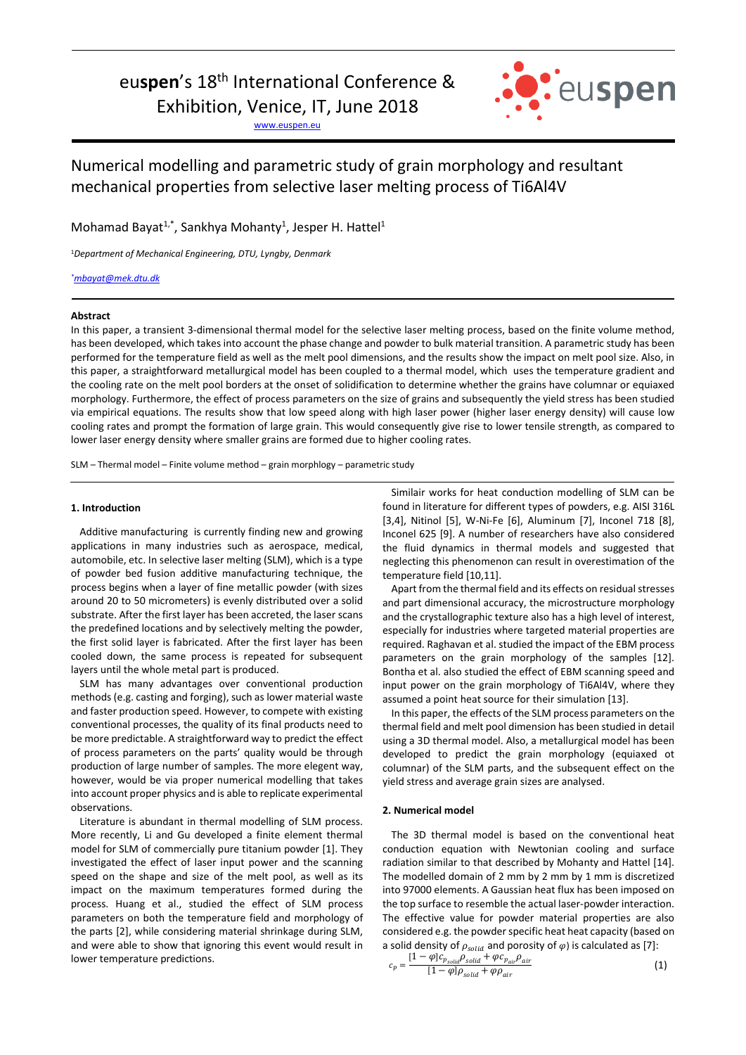# euspen's 18<sup>th</sup> International Conference &

Exhibition, Venice, IT, June 2018

www.euspen.eu



## Numerical modelling and parametric study of grain morphology and resultant mechanical properties from selective laser melting process of Ti6Al4V

Mohamad Bayat<sup>1,\*</sup>, Sankhya Mohanty<sup>1</sup>, Jesper H. Hattel<sup>1</sup>

<sup>1</sup>*Department of Mechanical Engineering, DTU, Lyngby, Denmark* 

*\*mbayat@mek.dtu.dk*

### **Abstract**

In this paper, a transient 3-dimensional thermal model for the selective laser melting process, based on the finite volume method, has been developed, which takes into account the phase change and powder to bulk material transition. A parametric study has been performed for the temperature field as well as the melt pool dimensions, and the results show the impact on melt pool size. Also, in this paper, a straightforward metallurgical model has been coupled to a thermal model, which uses the temperature gradient and the cooling rate on the melt pool borders at the onset of solidification to determine whether the grains have columnar or equiaxed morphology. Furthermore, the effect of process parameters on the size of grains and subsequently the yield stress has been studied via empirical equations. The results show that low speed along with high laser power (higher laser energy density) will cause low cooling rates and prompt the formation of large grain. This would consequently give rise to lower tensile strength, as compared to lower laser energy density where smaller grains are formed due to higher cooling rates.

SLM – Thermal model – Finite volume method – grain morphlogy – parametric study

#### **1. Introduction**

Additive manufacturing is currently finding new and growing applications in many industries such as aerospace, medical, automobile, etc. In selective laser melting (SLM), which is a type of powder bed fusion additive manufacturing technique, the process begins when a layer of fine metallic powder (with sizes around 20 to 50 micrometers) is evenly distributed over a solid substrate. After the first layer has been accreted, the laser scans the predefined locations and by selectively melting the powder, the first solid layer is fabricated. After the first layer has been cooled down, the same process is repeated for subsequent layers until the whole metal part is produced.

SLM has many advantages over conventional production methods (e.g. casting and forging), such as lower material waste and faster production speed. However, to compete with existing conventional processes, the quality of its final products need to be more predictable. A straightforward way to predict the effect of process parameters on the parts' quality would be through production of large number of samples. The more elegent way, however, would be via proper numerical modelling that takes into account proper physics and is able to replicate experimental observations.

Literature is abundant in thermal modelling of SLM process. More recently, Li and Gu developed a finite element thermal model for SLM of commercially pure titanium powder [1]. They investigated the effect of laser input power and the scanning speed on the shape and size of the melt pool, as well as its impact on the maximum temperatures formed during the process. Huang et al., studied the effect of SLM process parameters on both the temperature field and morphology of the parts [2], while considering material shrinkage during SLM, and were able to show that ignoring this event would result in lower temperature predictions.

Similair works for heat conduction modelling of SLM can be found in literature for different types of powders, e.g. AISI 316L [3,4], Nitinol [5], W-Ni-Fe [6], Aluminum [7], Inconel 718 [8], Inconel 625 [9]. A number of researchers have also considered the fluid dynamics in thermal models and suggested that neglecting this phenomenon can result in overestimation of the temperature field [10,11].

Apart from the thermal field and its effects on residual stresses and part dimensional accuracy, the microstructure morphology and the crystallographic texture also has a high level of interest, especially for industries where targeted material properties are required. Raghavan et al. studied the impact of the EBM process parameters on the grain morphology of the samples [12]. Bontha et al. also studied the effect of EBM scanning speed and input power on the grain morphology of Ti6Al4V, where they assumed a point heat source for their simulation [13].

In this paper, the effects of the SLM process parameters on the thermal field and melt pool dimension has been studied in detail using a 3D thermal model. Also, a metallurgical model has been developed to predict the grain morphology (equiaxed ot columnar) of the SLM parts, and the subsequent effect on the yield stress and average grain sizes are analysed.

#### **2. Numerical model**

The 3D thermal model is based on the conventional heat conduction equation with Newtonian cooling and surface radiation similar to that described by Mohanty and Hattel [14]. The modelled domain of 2 mm by 2 mm by 1 mm is discretized into 97000 elements. A Gaussian heat flux has been imposed on the top surface to resemble the actual laser-powder interaction. The effective value for powder material properties are also considered e.g. the powder specific heat heat capacity (based on a solid density of  $\rho_{solid}$  and porosity of  $\varphi$ ) is calculated as [7]:

$$
c_p = \frac{\left(1 - \varphi\right)c_{p_{solid}}}{\left[1 - \varphi\right]\rho_{solid} + \varphi c_{p_{air}}\rho_{air}}\tag{1}
$$